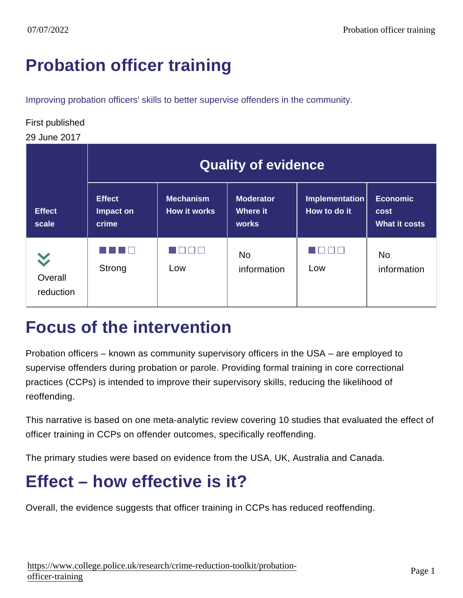# [Probation officer training](https://www.college.police.uk/research/crime-reduction-toolkit/probation-officer-training)

Improving probation officers' skills to better supervise offenders in the community.

#### First published

29 June 2017

|                        | <b>Quality of evidence</b>          |                           |                                |                                |                                   |
|------------------------|-------------------------------------|---------------------------|--------------------------------|--------------------------------|-----------------------------------|
| <b>Effect</b><br>scale | <b>Effect</b><br>Impact on<br>crime | Mechanism<br>How it works | Moderator<br>Where it<br>works | Implementation<br>How to do it | Economic<br>cost<br>What it costs |
| Overall<br>reduction   | Strong                              | $\Box$<br>Low             | <b>No</b><br>information       | Low                            | <b>No</b><br>information          |

### Focus of the intervention

Probation officers – known as community supervisory officers in the USA – are employed to supervise offenders during probation or parole. Providing formal training in core correctional practices (CCPs) is intended to improve their supervisory skills, reducing the likelihood of reoffending.

This narrative is based on one meta-analytic review covering 10 studies that evaluated the effect of officer training in CCPs on offender outcomes, specifically reoffending.

The primary studies were based on evidence from the USA, UK, Australia and Canada.

# Effect – how effective is it?

Overall, the evidence suggests that officer training in CCPs has reduced reoffending.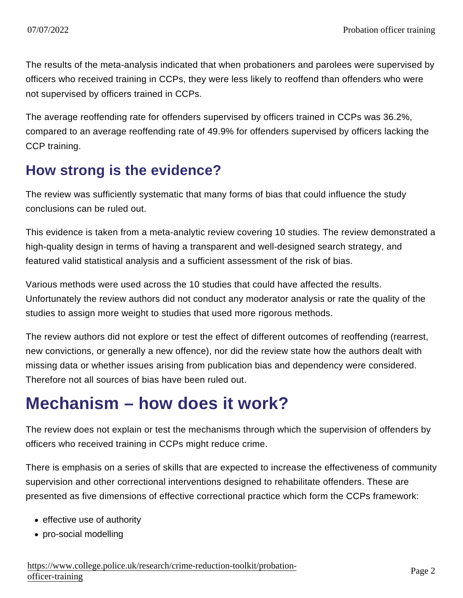The results of the meta-analysis indicated that when probationers and parolees were supervised by officers who received training in CCPs, they were less likely to reoffend than offenders who were not supervised by officers trained in CCPs.

The average reoffending rate for offenders supervised by officers trained in CCPs was 36.2%, compared to an average reoffending rate of 49.9% for offenders supervised by officers lacking the CCP training.

#### How strong is the evidence?

The review was sufficiently systematic that many forms of bias that could influence the study conclusions can be ruled out.

This evidence is taken from a meta-analytic review covering 10 studies. The review demonstrated a high-quality design in terms of having a transparent and well-designed search strategy, and featured valid statistical analysis and a sufficient assessment of the risk of bias.

Various methods were used across the 10 studies that could have affected the results. Unfortunately the review authors did not conduct any moderator analysis or rate the quality of the studies to assign more weight to studies that used more rigorous methods.

The review authors did not explore or test the effect of different outcomes of reoffending (rearrest, new convictions, or generally a new offence), nor did the review state how the authors dealt with missing data or whether issues arising from publication bias and dependency were considered. Therefore not all sources of bias have been ruled out.

## Mechanism – how does it work?

The review does not explain or test the mechanisms through which the supervision of offenders by officers who received training in CCPs might reduce crime.

There is emphasis on a series of skills that are expected to increase the effectiveness of community supervision and other correctional interventions designed to rehabilitate offenders. These are presented as five dimensions of effective correctional practice which form the CCPs framework:

- effective use of authority
- pro-social modelling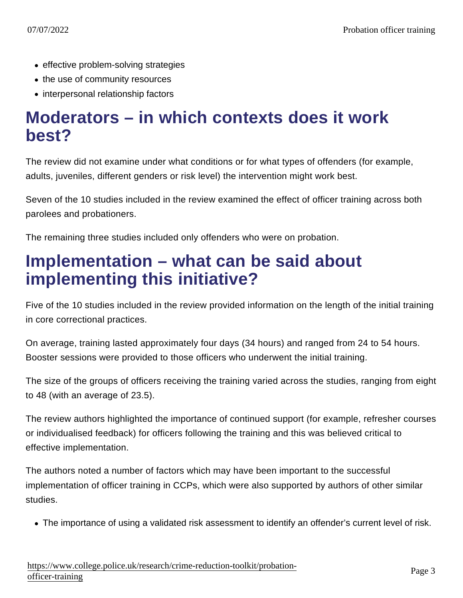- effective problem-solving strategies
- the use of community resources
- interpersonal relationship factors

#### Moderators – in which contexts does it work best?

The review did not examine under what conditions or for what types of offenders (for example, adults, juveniles, different genders or risk level) the intervention might work best.

Seven of the 10 studies included in the review examined the effect of officer training across both parolees and probationers.

The remaining three studies included only offenders who were on probation.

### Implementation – what can be said about implementing this initiative?

Five of the 10 studies included in the review provided information on the length of the initial training in core correctional practices.

On average, training lasted approximately four days (34 hours) and ranged from 24 to 54 hours. Booster sessions were provided to those officers who underwent the initial training.

The size of the groups of officers receiving the training varied across the studies, ranging from eight to 48 (with an average of 23.5).

The review authors highlighted the importance of continued support (for example, refresher courses or individualised feedback) for officers following the training and this was believed critical to effective implementation.

The authors noted a number of factors which may have been important to the successful implementation of officer training in CCPs, which were also supported by authors of other similar studies.

The importance of using a validated risk assessment to identify an offender's current level of risk.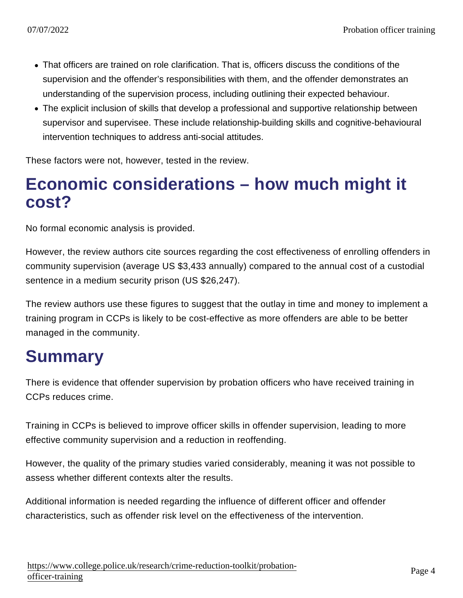- That officers are trained on role clarification. That is, officers discuss the conditions of the supervision and the offender's responsibilities with them, and the offender demonstrates an understanding of the supervision process, including outlining their expected behaviour.
- The explicit inclusion of skills that develop a professional and supportive relationship between supervisor and supervisee. These include relationship-building skills and cognitive-behavioural intervention techniques to address anti-social attitudes.

These factors were not, however, tested in the review.

### Economic considerations – how much might it cost?

No formal economic analysis is provided.

However, the review authors cite sources regarding the cost effectiveness of enrolling offenders in community supervision (average US \$3,433 annually) compared to the annual cost of a custodial sentence in a medium security prison (US \$26,247).

The review authors use these figures to suggest that the outlay in time and money to implement a training program in CCPs is likely to be cost-effective as more offenders are able to be better managed in the community.

# **Summary**

There is evidence that offender supervision by probation officers who have received training in CCPs reduces crime.

Training in CCPs is believed to improve officer skills in offender supervision, leading to more effective community supervision and a reduction in reoffending.

However, the quality of the primary studies varied considerably, meaning it was not possible to assess whether different contexts alter the results.

Additional information is needed regarding the influence of different officer and offender characteristics, such as offender risk level on the effectiveness of the intervention.